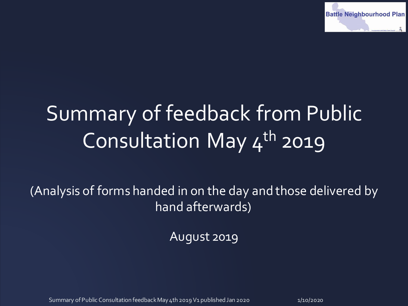

# Summary of feedback from Public Consultation May 4<sup>th</sup> 2019

(Analysis of forms handed in on the day and those delivered by hand afterwards)

August 2019

Summary of Public Consultation feedback May 4th 2019 V1 published Jan 2020 11 10/2020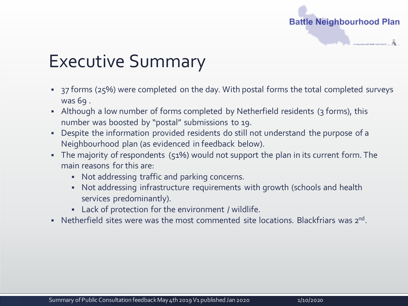

### Executive Summary

- <sup>2</sup> 37 forms (25%) were completed on the day. With postal forms the total completed surveys was 69 .
- Although a low number of forms completed by Netherfield residents (3 forms), this number was boosted by "postal" submissions to 19.
- Despite the information provided residents do still not understand the purpose of a Neighbourhood plan (as evidenced in feedback below).
- The majority of respondents (51%) would not support the plan in its current form. The main reasons for this are:
	- Not addressing traffic and parking concerns.
	- Not addressing infrastructure requirements with growth (schools and health services predominantly).
	- Lack of protection for the environment / wildlife.
- Netherfield sites were was the most commented site locations. Blackfriars was 2<sup>nd</sup>.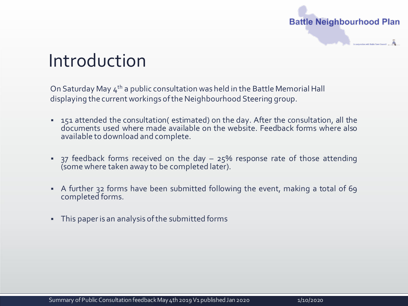

#### Introduction

On Saturday May  $4<sup>th</sup>$  a public consultation was held in the Battle Memorial Hall displaying the current workings of the Neighbourhood Steering group.

- 151 attended the consultation( estimated) on the day. After the consultation, all the documents used where made available on the website. Feedback forms where also available to download and complete.
- $\overline{1}$  37 feedback forms received on the day 25% response rate of those attending (some where taken away to be completed later).
- A further 32 forms have been submitted following the event, making a total of 69 completed forms.
- This paper is an analysis ofthe submitted forms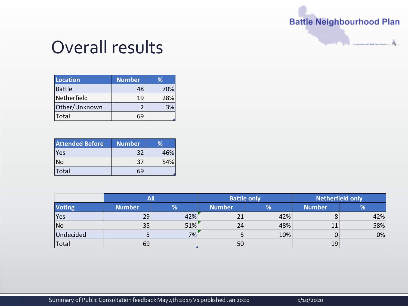$\tilde{\mathbf{A}}$  . Therefore the first state  $\tilde{\mathbf{A}}$ 

#### Overall results

| Location      | <b>Number</b> | ℅   |
|---------------|---------------|-----|
| Battle        | 48            | 70% |
| Netherfield   | 19            | 28% |
| Other/Unknown |               |     |
| Total         |               |     |

| <b>Attended Before</b> | <b>Number</b> | ℅   |
|------------------------|---------------|-----|
| <b>Yes</b>             | 32            | 46% |
| No                     | ־ג            | 54% |
| Total                  |               |     |

|               |               | All |               | <b>Battle only</b> |               | <b>Netherfield only</b> |
|---------------|---------------|-----|---------------|--------------------|---------------|-------------------------|
| <b>Voting</b> | <b>Number</b> | %   | <b>Number</b> | %                  | <b>Number</b> | %                       |
| <b>Yes</b>    | 29            | 42% | 21            | 42%                |               | 42%                     |
| No            | 35            | 51% | 24            | 48%                | 11            | 58%                     |
| Undecided     |               | 7%1 |               | 10%                |               | 0%                      |
| Total         | 69            |     | 50            |                    | 19            |                         |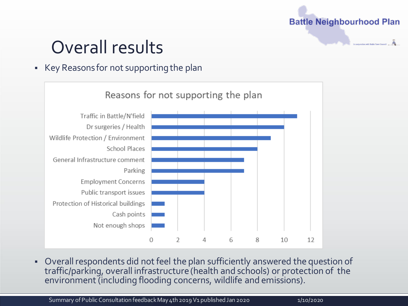#### Overall results

#### ■ Key Reasons for not supporting the plan



▪ Overall respondents did not feel the plan sufficiently answered the question of traffic/parking, overall infrastructure (health and schools) or protection of the environment (including flooding concerns, wildlife and emissions).

Summary of Public Consultation feedback May 4th 2019 V1 published Jan 2020 1/10/2020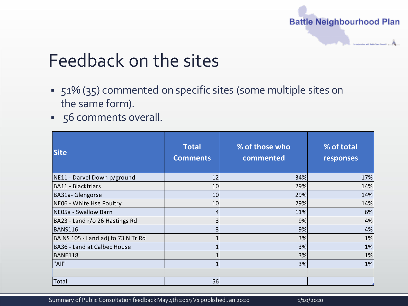

### Feedback on the sites

- 51% (35) commented on specific sites (some multiple sites on the same form).
- 56 comments overall.

| <b>Site</b>                        | <b>Total</b><br><b>Comments</b> | % of those who<br>commented | % of total<br>responses |
|------------------------------------|---------------------------------|-----------------------------|-------------------------|
| NE11 - Darvel Down p/ground        | 12                              | 34%                         | 17%                     |
| BA11 - Blackfriars                 | 10                              | 29%                         | 14%                     |
| BA31a- Glengorse                   | 10                              | 29%                         | 14%                     |
| NE06 - White Hse Poultry           | 10                              | 29%                         | 14%                     |
| NE05a - Swallow Barn               | 4                               | 11%                         | 6%                      |
| BA23 - Land r/o 26 Hastings Rd     | 3                               | 9%                          | 4%                      |
| BANS116                            | 3                               | 9%                          | 4%                      |
| BA NS 105 - Land adj to 73 N Tr Rd | 1                               | 3%                          | 1%                      |
| <b>BA36 - Land at Calbec House</b> | $\mathbf{1}$                    | 3%                          | 1%                      |
| BANE118                            | $\mathbf{1}$                    | 3%                          | 1%                      |
| "All"                              | 1                               | 3%                          | 1%                      |
| Total                              | 56                              |                             |                         |

Summary of Public Consultation feedback May 4th 2019 V1 published Jan 2020 11 110/2020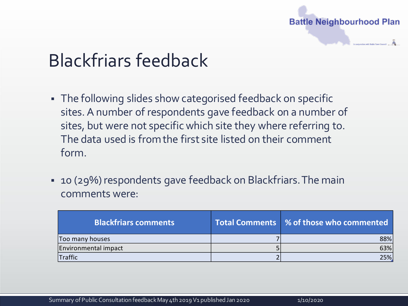

# Blackfriars feedback

- **The following slides show categorised feedback on specific** sites. A number of respondents gave feedback on a number of sites, but were not specific which site they where referring to. The data used is from the first site listed on their comment form.
- 10 (29%) respondents gave feedback on Blackfriars. The main comments were:

| <b>Blackfriars comments</b> | Total Comments   % of those who commented |
|-----------------------------|-------------------------------------------|
| Too many houses             | 88%                                       |
| Environmental impact        | 63%                                       |
| Traffic                     | 25%                                       |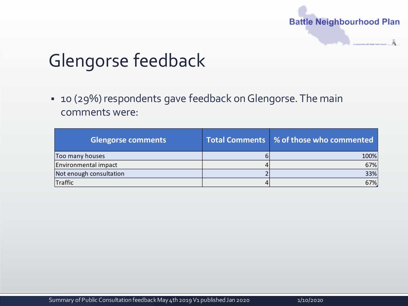

# Glengorse feedback

▪ 10 (29%) respondents gave feedback on Glengorse. The main comments were:

| <b>Glengorse comments</b> | Total Comments   % of those who commented |
|---------------------------|-------------------------------------------|
| Too many houses           | 100%                                      |
| Environmental impact      | 67%                                       |
| Not enough consultation   | 33%                                       |
| Traffic                   | 67%                                       |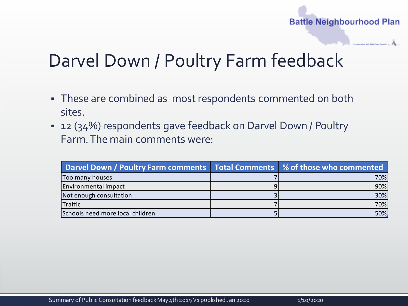### Darvel Down / Poultry Farm feedback

- **These are combined as most respondents commented on both** sites.
- 12 (34%) respondents gave feedback on Darvel Down / Poultry Farm. The main comments were:

| Darvel Down / Poultry Farm comments   Total Comments   % of those who commented |     |
|---------------------------------------------------------------------------------|-----|
| Too many houses                                                                 | 70% |
| Environmental impact                                                            | 90% |
| Not enough consultation                                                         | 30% |
| <b>Traffic</b>                                                                  | 70% |
| Schools need more local children                                                | 50% |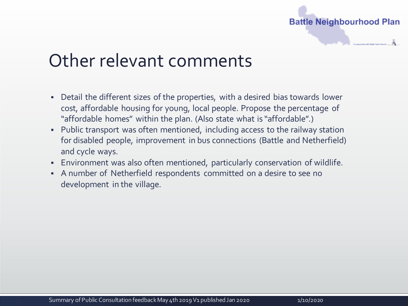

#### Other relevant comments

- Detail the different sizes of the properties, with a desired bias towards lower cost, affordable housing for young, local people. Propose the percentage of "affordable homes" within the plan. (Also state what is "affordable".)
- Public transport was often mentioned, including access to the railway station for disabled people, improvement in bus connections (Battle and Netherfield) and cycle ways.
- Environment was also often mentioned, particularly conservation of wildlife.
- A number of Netherfield respondents committed on a desire to see no development in the village.